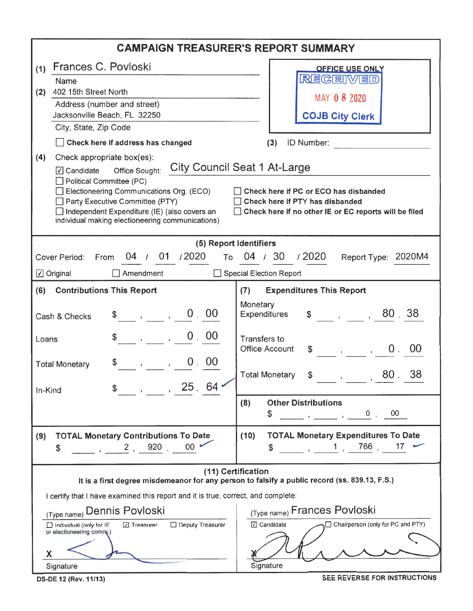| <b>CAMPAIGN TREASURER'S REPORT SUMMARY</b>                                                      |                                                                                                           |  |  |  |  |  |  |
|-------------------------------------------------------------------------------------------------|-----------------------------------------------------------------------------------------------------------|--|--|--|--|--|--|
| Frances C. Povloski<br>(1)                                                                      | <b>OFFICE USE ONLY</b>                                                                                    |  |  |  |  |  |  |
| Name                                                                                            | REGEIWED                                                                                                  |  |  |  |  |  |  |
| 402 15th Street North<br>(2)                                                                    | MAY 08 2020                                                                                               |  |  |  |  |  |  |
| Address (number and street)<br>Jacksonville Beach, FL 32250                                     | <b>COJB City Clerk</b>                                                                                    |  |  |  |  |  |  |
| City, State, Zip Code                                                                           |                                                                                                           |  |  |  |  |  |  |
| Check here if address has changed                                                               | (3)<br>ID Number:                                                                                         |  |  |  |  |  |  |
| Check appropriate box(es):<br>(4)                                                               |                                                                                                           |  |  |  |  |  |  |
| Office Sought:<br>$\sqrt{ }$ Candidate                                                          | <b>City Council Seat 1 At-Large</b>                                                                       |  |  |  |  |  |  |
| $\Box$ Political Committee (PC)<br>Electioneering Communications Org. (ECO)                     | Check here if PC or ECO has disbanded                                                                     |  |  |  |  |  |  |
| Party Executive Committee (PTY)                                                                 | Check here if PTY has disbanded                                                                           |  |  |  |  |  |  |
| Independent Expenditure (IE) (also covers an                                                    | $\Box$ Check here if no other IE or EC reports will be filed                                              |  |  |  |  |  |  |
| individual making electioneering communications)                                                |                                                                                                           |  |  |  |  |  |  |
| (5) Report Identifiers                                                                          |                                                                                                           |  |  |  |  |  |  |
| 04 / 01 / 2020<br>Cover Period:<br>From                                                         | To 04 / 30 / 2020<br>Report Type: 2020M4                                                                  |  |  |  |  |  |  |
| $\Box$ Amendment<br>$\Box$ Original                                                             | Special Election Report                                                                                   |  |  |  |  |  |  |
| (6)<br><b>Contributions This Report</b>                                                         | <b>Expenditures This Report</b><br>(7)                                                                    |  |  |  |  |  |  |
|                                                                                                 | Monetary                                                                                                  |  |  |  |  |  |  |
| 0.00<br>Cash & Checks                                                                           | $\frac{1}{2}$ , 80.38<br><b>Expenditures</b>                                                              |  |  |  |  |  |  |
| 0.00<br>Loans                                                                                   | <b>Transfers to</b>                                                                                       |  |  |  |  |  |  |
|                                                                                                 | $\frac{1}{2}$ , , , , , , 0 , 00<br><b>Office Account</b>                                                 |  |  |  |  |  |  |
| 0.00<br>$\mathbf{y} = \mathbf{y}$<br><b>Total Monetary</b>                                      |                                                                                                           |  |  |  |  |  |  |
|                                                                                                 | 38<br><b>Total Monetary</b><br>$\frac{1}{2}$ , $\frac{1}{2}$ , 80 .<br>\$                                 |  |  |  |  |  |  |
| $\overline{\phantom{0}}$ , 25.64<br>In-Kind                                                     |                                                                                                           |  |  |  |  |  |  |
|                                                                                                 | <b>Other Distributions</b><br>(8)<br>$_{00}$<br>\$                                                        |  |  |  |  |  |  |
|                                                                                                 | $\overline{\phantom{a}}$ , $\overline{\phantom{a}}$ , $\overline{\phantom{a}}$ , $\overline{\phantom{a}}$ |  |  |  |  |  |  |
| <b>TOTAL Monetary Contributions To Date</b><br>(9)                                              | <b>TOTAL Monetary Expenditures To Date</b><br>(10)                                                        |  |  |  |  |  |  |
| 00 <sup>°</sup><br>$\sim$ , $\sim$ 2 , 920 .<br>\$                                              | 17<br>\$                                                                                                  |  |  |  |  |  |  |
| (11) Certification                                                                              |                                                                                                           |  |  |  |  |  |  |
| It is a first degree misdemeanor for any person to falsify a public record (ss. 839.13, F.S.)   |                                                                                                           |  |  |  |  |  |  |
| I certify that I have examined this report and it is true, correct, and complete:               |                                                                                                           |  |  |  |  |  |  |
| (Type name) Dennis Povloski                                                                     | (Type name) Frances Povloski                                                                              |  |  |  |  |  |  |
| □ Deputy Treasurer<br>Individual (only for IE<br><b>⊡</b> Treasurer<br>or electioneering comm.) | □ Candidate<br>Chairperson (only for PC and PTY)                                                          |  |  |  |  |  |  |
|                                                                                                 |                                                                                                           |  |  |  |  |  |  |
| Х                                                                                               |                                                                                                           |  |  |  |  |  |  |
| Signature                                                                                       | Signature                                                                                                 |  |  |  |  |  |  |

DS-DE 12 (Rev. 11/13) SEE REVERSE FOR INSTRUCTIONS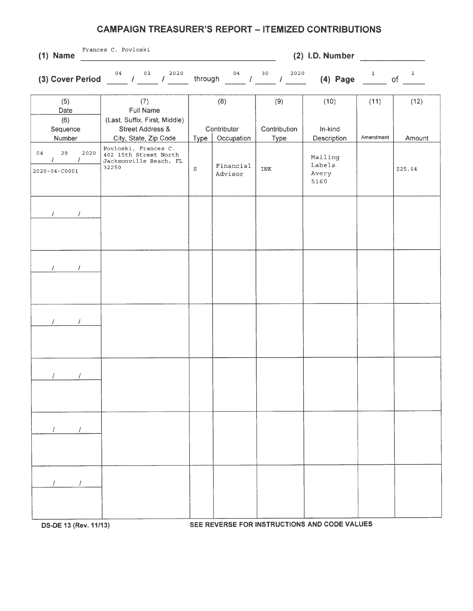## **CAMPAIGN TREASURER'S REPORT - ITEMIZED CONTRIBUTIONS**

| $(1)$ Name                                          | Frances C. Povloski<br>$(2)$ I.D. Number                                                                  |                |                                  |                             |                                                                 |                   |                |
|-----------------------------------------------------|-----------------------------------------------------------------------------------------------------------|----------------|----------------------------------|-----------------------------|-----------------------------------------------------------------|-------------------|----------------|
|                                                     | (3) Cover Period $\frac{04}{1}$ / $\frac{01}{1}$ / $\frac{2020}{1}$                                       |                |                                  |                             | through $^{04}$ / $^{30}$ / $^{2020}$ (4) Page $^{1}$ of $^{1}$ |                   |                |
| (5)<br>Date<br>(6)<br>Sequence<br>Number            | (7)<br>Full Name<br>(Last, Suffix, First, Middle)<br><b>Street Address &amp;</b><br>City, State, Zip Code | Type           | (8)<br>Contributor<br>Occupation | (9)<br>Contribution<br>Type | (10)<br>In-kind<br>Description                                  | (11)<br>Amendment | (12)<br>Amount |
| 29<br>2020<br>04<br>$\prime$<br>$2020 - 04 - 00001$ | Povloski, Frances C.<br>402 15th Street North<br>Jacksonville Beach, FL<br>32250                          | $\mbox{\bf S}$ | Financial<br>Advisor             | <b>INK</b>                  | Mailing<br>Labels<br>Avery<br>5160                              |                   | \$25.64        |
| $I = -I$                                            |                                                                                                           |                |                                  |                             |                                                                 |                   |                |
| $\mathcal{L}$ and $\mathcal{L}$<br>$\prime$         |                                                                                                           |                |                                  |                             |                                                                 |                   |                |
| $\frac{1}{2}$ $\frac{1}{2}$                         |                                                                                                           |                |                                  |                             |                                                                 |                   |                |
| $\prime$<br>7                                       |                                                                                                           |                |                                  |                             |                                                                 |                   |                |
| $\frac{1}{2}$<br>$\sqrt{2}$                         |                                                                                                           |                |                                  |                             |                                                                 |                   |                |
| $\mathcal{L}$ and $\mathcal{L}$<br>$\sqrt{2}$       |                                                                                                           |                |                                  |                             |                                                                 |                   |                |

**OS-DE 13 (Rev. 11/13) SEE REVERSE FOR INSTRUCTIONS AND CODE VALUES**